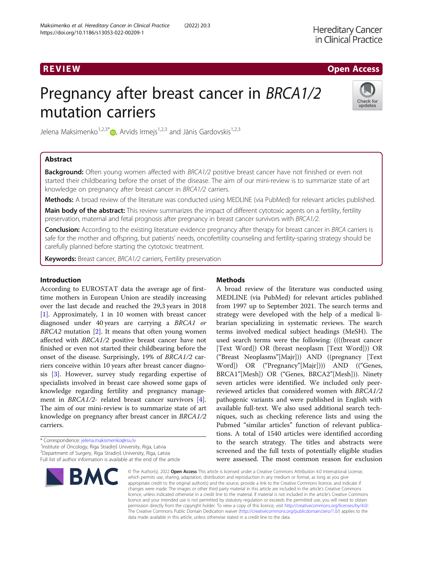# R EVI EW Open Access

# Pregnancy after breast cancer in BRCA1/2 mutation carriers



Jelena Maksimenko<sup>1[,](http://orcid.org/0000-0003-2462-3125)2,3\*</sup> $\bullet$ , Arvīds Irmejs<sup>1,2,3</sup> and Jānis Gardovskis<sup>1,2,3</sup>

# Abstract

Background: Often young women affected with BRCA1/2 positive breast cancer have not finished or even not started their childbearing before the onset of the disease. The aim of our mini-review is to summarize state of art knowledge on pregnancy after breast cancer in BRCA1/2 carriers.

Methods: A broad review of the literature was conducted using MEDLINE (via PubMed) for relevant articles published.

Main body of the abstract: This review summarizes the impact of different cytotoxic agents on a fertility, fertility preservation, maternal and fetal prognosis after pregnancy in breast cancer survivors with BRCA1/2.

**Conclusion:** According to the existing literature evidence pregnancy after therapy for breast cancer in BRCA carriers is safe for the mother and offspring, but patients' needs, oncofertility counseling and fertility-sparing strategy should be carefully planned before starting the cytotoxic treatment.

Keywords: Breast cancer, BRCA1/2 carriers, Fertility preservation

# Introduction

According to EUROSTAT data the average age of firsttime mothers in European Union are steadily increasing over the last decade and reached the 29,3 years in 2018 [[1\]](#page-4-0). Approximately, 1 in 10 women with breast cancer diagnosed under 40 years are carrying a BRCA1 or BRCA2 mutation [\[2](#page-4-0)]. It means that often young women affected with BRCA1/2 positive breast cancer have not finished or even not started their childbearing before the onset of the disease. Surprisingly, 19% of BRCA1/2 carriers conceive within 10 years after breast cancer diagnosis [[3\]](#page-4-0). However, survey study regarding expertise of specialists involved in breast care showed some gaps of knowledge regarding fertility and pregnancy management in *BRCA1/2-* related breast cancer survivors [\[4](#page-4-0)]. The aim of our mini-review is to summarize state of art knowledge on pregnancy after breast cancer in BRCA1/2 carriers.

\* Correspondence: [jelena.maksimenko@rsu.lv](mailto:jelena.maksimenko@rsu.lv) <sup>1</sup> <sup>1</sup> Institute of Oncology, Riga Stradiņš University, Riga, Latvia <sup>2</sup>Department of Surgery, Riga Stradiņš University, Riga, Latvia Full list of author information is available at the end of the article



# Methods

A broad review of the literature was conducted using MEDLINE (via PubMed) for relevant articles published from 1997 up to September 2021. The search terms and strategy were developed with the help of a medical librarian specializing in systematic reviews. The search terms involved medical subject headings (MeSH). The used search terms were the following: ((((breast cancer [Text Word]) OR (breast neoplasm [Text Word])) OR ("Breast Neoplasms"[Majr])) AND ((pregnancy [Text Word]) OR ("Pregnancy"[Majr]))) AND (("Genes, BRCA1"[Mesh]) OR ("Genes, BRCA2"[Mesh])). Ninety seven articles were identified. We included only peerreviewed articles that considered women with BRCA1/2 pathogenic variants and were published in English with available full-text. We also used additional search techniques, such as checking reference lists and using the Pubmed "similar articles" function of relevant publications. A total of 1540 articles were identified according to the search strategy. The titles and abstracts were screened and the full texts of potentially eligible studies were assessed. The most common reason for exclusion

© The Author(s). 2022 Open Access This article is licensed under a Creative Commons Attribution 4.0 International License, which permits use, sharing, adaptation, distribution and reproduction in any medium or format, as long as you give appropriate credit to the original author(s) and the source, provide a link to the Creative Commons licence, and indicate if changes were made. The images or other third party material in this article are included in the article's Creative Commons licence, unless indicated otherwise in a credit line to the material. If material is not included in the article's Creative Commons licence and your intended use is not permitted by statutory regulation or exceeds the permitted use, you will need to obtain permission directly from the copyright holder. To view a copy of this licence, visit [http://creativecommons.org/licenses/by/4.0/.](http://creativecommons.org/licenses/by/4.0/) The Creative Commons Public Domain Dedication waiver [\(http://creativecommons.org/publicdomain/zero/1.0/](http://creativecommons.org/publicdomain/zero/1.0/)) applies to the data made available in this article, unless otherwise stated in a credit line to the data.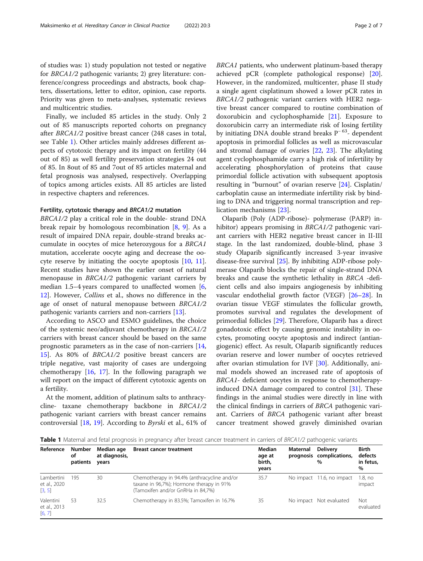<span id="page-1-0"></span>of studies was: 1) study population not tested or negative for BRCA1/2 pathogenic variants; 2) grey literature: conference/congress proceedings and abstracts, book chapters, dissertations, letter to editor, opinion, case reports. Priority was given to meta-analyses, systematic reviews and multicentric studies.

Finally, we included 85 articles in the study. Only 2 out of 85 manuscripts reported cohorts on pregnancy after BRCA1/2 positive breast cancer (248 cases in total, see Table 1). Other articles mainly addreses different aspects of cytotoxic therapy and its impact on fertility (44 out of 85) as well fertility preservation strategies 24 out of 85. In 8out of 85 and 7out of 85 articles maternal and fetal prognosis was analysed, respectively. Overlapping of topics among articles exists. All 85 articles are listed in respective chapters and references.

#### Fertility, cytotoxic therapy and BRCA1/2 mutation

BRCA1/2 play a critical role in the double- strand DNA break repair by homologous recombination [[8,](#page-4-0) [9\]](#page-4-0). As a result of impaired DNA repair, double-strand breaks accumulate in oocytes of mice heterozygous for a BRCA1 mutation, accelerate oocyte aging and decrease the oocyte reserve by initiating the oocyte apoptosis [\[10,](#page-4-0) [11](#page-4-0)]. Recent studies have shown the earlier onset of natural menopause in BRCA1/2 pathogenic variant carriers by median 1.5–4 years compared to unaffected women  $[6, 6]$  $[6, 6]$ [12\]](#page-4-0). However, Collins et al., shows no difference in the age of onset of natural menopause between BRCA1/2 pathogenic variants carriers and non-carriers [[13\]](#page-4-0).

According to ASCO and ESMO guidelines, the choice of the systemic neo/adjuvant chemotherapy in BRCA1/2 carriers with breast cancer should be based on the same prognostic parameters as in the case of non-carriers [[14](#page-4-0), [15\]](#page-4-0). As 80% of BRCA1/2 positive breast cancers are triple negative, vast majority of cases are undergoing chemotherapy [[16,](#page-4-0) [17](#page-4-0)]. In the following paragraph we will report on the impact of different cytotoxic agents on a fertility.

At the moment, addition of platinum salts to anthracycline- taxane chemotherapy backbone in BRCA1/2 pathogenic variant carriers with breast cancer remains controversial [\[18](#page-4-0), [19\]](#page-4-0). According to Byrski et al., 61% of BRCA1 patients, who underwent platinum-based therapy achieved pCR (complete pathological response) [\[20](#page-4-0)]. However, in the randomized, multicenter, phase II study a single agent cisplatinum showed a lower pCR rates in BRCA1/2 pathogenic variant carriers with HER2 negative breast cancer compared to routine combination of doxorubicin and cyclophosphamide [[21](#page-4-0)]. Exposure to doxorubicin carry an intermediate risk of losing fertility by initiating DNA double strand breaks P<sup>−</sup> 63- dependent apoptosis in primordial follicles as well as microvascular and stromal damage of ovaries [\[22,](#page-4-0) [23](#page-4-0)]. The alkylating agent cyclophosphamide carry a high risk of infertility by accelerating phosphorylation of proteins that cause primordial follicle activation with subsequent apoptosis resulting in "burnout" of ovarian reserve [[24\]](#page-4-0). Cisplatin/ carboplatin cause an intermediate infertility risk by binding to DNA and triggering normal transcription and replication mechanisms [\[23](#page-4-0)].

Olaparib (Poly (ADP-ribose)- polymerase (PARP) inhibitor) appears promising in *BRCA1/2* pathogenic variant carriers with HER2 negative breast cancer in II-III stage. In the last randomized, double-blind, phase 3 study Olaparib significantly increased 3-year invasive disease-free survival [[25\]](#page-4-0). By inhibiting ADP-ribose polymerase Olaparib blocks the repair of single-strand DNA breaks and cause the synthetic lethality in BRCA -deficient cells and also impairs angiogenesis by inhibiting vascular endothelial growth factor (VEGF) [\[26](#page-5-0)–[28\]](#page-5-0). In ovarian tissue VEGF stimulates the follicular growth, promotes survival and regulates the development of primordial follicles [\[29\]](#page-5-0). Therefore, Olaparib has a direct gonadotoxic effect by causing genomic instability in oocytes, promoting oocyte apoptosis and indirect (antiangiogenic) effect. As result, Olaparib significantly reduces ovarian reserve and lower number of oocytes retrieved after ovarian stimulation for IVF [[30\]](#page-5-0). Additionally, animal models showed an increased rate of apoptosis of BRCA1- deficient oocytes in response to chemotherapyinduced DNA damage compared to control [\[31\]](#page-5-0). These findings in the animal studies were directly in line with the clinical findings in carriers of BRCA pathogenic variant. Carriers of BRCA pathogenic variant after breast cancer treatment showed gravely diminished ovarian

Table 1 Maternal and fetal prognosis in pregnancy after breast cancer treatment in carriers of BRCA1/2 pathogenic variants

| Reference                            | Number<br>οf<br>patients | Median age<br>at diagnosis,<br>years | <b>Breast cancer treatment</b>                                                                                               | Median<br>age at<br>birth,<br>years | Maternal | <b>Delivery</b><br>prognosis complications,<br>$\%$ | <b>Birth</b><br>defects<br>in fetus,<br>% |
|--------------------------------------|--------------------------|--------------------------------------|------------------------------------------------------------------------------------------------------------------------------|-------------------------------------|----------|-----------------------------------------------------|-------------------------------------------|
| Lambertini<br>et al., 2020<br>[3, 5] | 195                      | 30                                   | Chemotherapy in 94.4% (anthracycline and/or<br>taxane in 96,7%); Hormone therapy in 91%<br>(Tamoxifen and/or GnRHa in 84.7%) | 35.7                                |          | No impact 11.6, no impact                           | 1.8, no<br>impact                         |
| Valentini<br>et al., 2013<br>[6, 7]  | 53                       | 32.5                                 | Chemotherapy in 83.5%; Tamoxifen in 16.7%                                                                                    | 35                                  |          | No impact Not evaluated                             | Not<br>evaluated                          |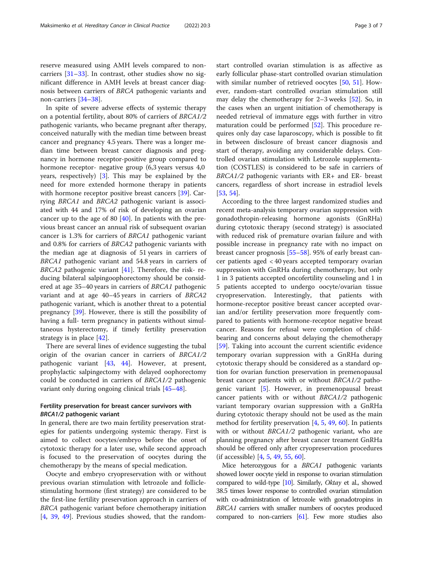reserve measured using AMH levels compared to noncarriers  $[31-33]$  $[31-33]$  $[31-33]$ . In contrast, other studies show no significant difference in AMH levels at breast cancer diagnosis between carriers of BRCA pathogenic variants and non-carriers [[34](#page-5-0)–[38\]](#page-5-0).

In spite of severe adverse effects of systemic therapy on a potential fertility, about 80% of carriers of BRCA1/2 pathogenic variants, who became pregnant after therapy, conceived naturally with the median time between breast cancer and pregnancy 4.5 years. There was a longer median time between breast cancer diagnosis and pregnancy in hormone receptor-positive group compared to hormone receptor- negative group (6,3 years versus 4,0) years, respectively) [[3](#page-4-0)]. This may be explained by the need for more extended hormone therapy in patients with hormone receptor positive breast cancers [[39\]](#page-5-0). Carrying BRCA1 and BRCA2 pathogenic variant is associated with 44 and 17% of risk of developing an ovarian cancer up to the age of 80  $[40]$  $[40]$ . In patients with the previous breast cancer an annual risk of subsequent ovarian cancer is 1.3% for carriers of BRCA1 pathogenic variant and 0.8% for carriers of BRCA2 pathogenic variants with the median age at diagnosis of 51 years in carriers of BRCA1 pathogenic variant and 54.8 years in carriers of BRCA2 pathogenic variant [\[41\]](#page-5-0). Therefore, the risk- reducing bilateral salpingoophorectomy should be considered at age 35–40 years in carriers of BRCA1 pathogenic variant and at age 40–45 years in carriers of BRCA2 pathogenic variant, which is another threat to a potential pregnancy [[39\]](#page-5-0). However, there is still the possibility of having a full- term pregnancy in patients without simultaneous hysterectomy, if timely fertility preservation strategy is in place [[42](#page-5-0)].

There are several lines of evidence suggesting the tubal origin of the ovarian cancer in carriers of BRCA1/2 pathogenic variant [\[43,](#page-5-0) [44\]](#page-5-0). However, at present, prophylactic salpingectomy with delayed oophorectomy could be conducted in carriers of BRCA1/2 pathogenic variant only during ongoing clinical trials [\[45](#page-5-0)–[48\]](#page-5-0).

# Fertility preservation for breast cancer survivors with BRCA1/2 pathogenic variant

In general, there are two main fertility preservation strategies for patients undergoing systemic therapy. First is aimed to collect oocytes/embryo before the onset of cytotoxic therapy for a later use, while second approach is focused to the preservation of oocytes during the chemotherapy by the means of special medication.

Oocyte and embryo cryopreservation with or without previous ovarian stimulation with letrozole and folliclestimulating hormone (first strategy) are considered to be the first-line fertility preservation approach in carriers of BRCA pathogenic variant before chemotherapy initiation [[4,](#page-4-0) [39](#page-5-0), [49\]](#page-5-0). Previous studies showed, that the randomstart controlled ovarian stimulation is as affective as early follicular phase-start controlled ovarian stimulation with similar number of retrieved oocytes [\[50](#page-5-0), [51\]](#page-5-0). However, random-start controlled ovarian stimulation still may delay the chemotherapy for 2–3 weeks [[52\]](#page-5-0). So, in the cases when an urgent initiation of chemotherapy is needed retrieval of immature eggs with further in vitro maturation could be performed [[52\]](#page-5-0). This procedure requires only day case laparoscopy, which is possible to fit in between disclosure of breast cancer diagnosis and start of therapy, avoiding any considerable delays. Controlled ovarian stimulation with Letrozole supplementation (COSTLES) is considered to be safe in carriers of BRCA1/2 pathogenic variants with ER+ and ER- breast cancers, regardless of short increase in estradiol levels [[53,](#page-5-0) [54\]](#page-5-0).

According to the three largest randomized studies and recent meta-analysis temporary ovarian suppression with gonadothropin-releasing hormone agonists (GnRHa) during cytotoxic therapy (second strategy) is associated with reduced risk of premature ovarian failure and with possible increase in pregnancy rate with no impact on breast cancer prognosis [\[55](#page-5-0)–[58\]](#page-5-0). 95% of early breast cancer patients aged < 40 years accepted temporary ovarian suppression with GnRHa during chemotherapy, but only 1 in 3 patients accepted oncofertility counseling and 1 in 5 patients accepted to undergo oocyte/ovarian tissue cryopreservation. Interestingly, that patients with hormone-receptor positive breast cancer accepted ovarian and/or fertility preservation more frequently compared to patients with hormone-receptor negative breast cancer. Reasons for refusal were completion of childbearing and concerns about delaying the chemotherapy [[59\]](#page-5-0). Taking into account the current scientific evidence temporary ovarian suppression with a GnRHa during cytotoxic therapy should be considered as a standard option for ovarian function preservation in premenopausal breast cancer patients with or without BRCA1/2 pathogenic variant [\[5\]](#page-4-0). However, in premenopausal breast cancer patients with or without BRCA1/2 pathogenic variant temporary ovarian suppression with a GnRHa during cytotoxic therapy should not be used as the main method for fertility preservation [\[4](#page-4-0), [5,](#page-4-0) [49,](#page-5-0) [60\]](#page-5-0). In patients with or without *BRCA1/2* pathogenic variant, who are planning pregnancy after breast cancer treament GnRHa should be offered only after cryopreservation procedures (if accessible) [\[4](#page-4-0), [5](#page-4-0), [49](#page-5-0), [55](#page-5-0), [60\]](#page-5-0).

Mice heterozygous for a BRCA1 pathogenic variants showed lower oocyte yield in response to ovarian stimulation compared to wild-type [[10\]](#page-4-0). Similarly, Oktay et al., showed 38.5 times lower response to controlled ovarian stimulation with co-administration of letrozole with gonadotropins in BRCA1 carriers with smaller numbers of oocytes produced compared to non-carriers  $[61]$  $[61]$ . Few more studies also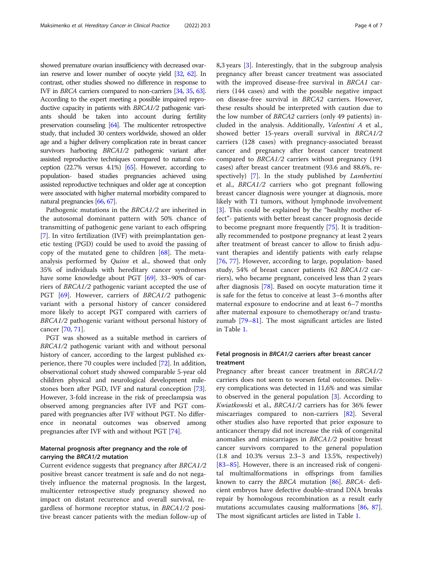showed premature ovarian insufficiency with decreased ovarian reserve and lower number of oocyte yield [\[32,](#page-5-0) [62](#page-5-0)]. In contrast, other studies showed no difference in response to IVF in BRCA carriers compared to non-carriers [\[34,](#page-5-0) [35](#page-5-0), [63\]](#page-6-0). According to the expert meeting a possible impaired reproductive capacity in patients with BRCA1/2 pathogenic variants should be taken into account during fertility preservation counseling [[64\]](#page-6-0). The multicenter retrospective study, that included 30 centers worldwide, showed an older age and a higher delivery complication rate in breast cancer survivors harboring BRCA1/2 pathogenic variant after assisted reproductive techniques compared to natural conception (22.7% versus 4.1%) [\[65](#page-6-0)]. However, according to population- based studies pregnancies achieved using assisted reproductive techniques and older age at conception were associated with higher maternal morbidity compared to natural pregnancies [\[66,](#page-6-0) [67\]](#page-6-0).

Pathogenic mutations in the BRCA1/2 are inherited in the autosomal dominant pattern with 50% chance of transmitting of pathogenic gene variant to each offspring [[7\]](#page-4-0). In vitro fertilization (IVF) with preimplantation genetic testing (PGD) could be used to avoid the passing of copy of the mutated gene to children [\[68](#page-6-0)]. The metaanalysis performed by *Quinn* et al., showed that only 35% of individuals with hereditary cancer syndromes have some knowledge about PGT [[69](#page-6-0)]. 33–90% of carriers of BRCA1/2 pathogenic variant accepted the use of PGT [\[69](#page-6-0)]. However, carriers of *BRCA1/2* pathogenic variant with a personal history of cancer considered more likely to accept PGT compared with carriers of BRCA1/2 pathogenic variant without personal history of cancer [[70](#page-6-0), [71](#page-6-0)].

PGT was showed as a suitable method in carriers of BRCA1/2 pathogenic variant with and without personal history of cancer, according to the largest published experience, there 70 couples were included [\[72](#page-6-0)]. In addition, observational cohort study showed comparable 5-year old children physical and neurological development milestones born after PGD, IVF and natural conception [[73](#page-6-0)]. However, 3-fold increase in the risk of preeclampsia was observed among pregnancies after IVF and PGT compared with pregnancies after IVF without PGT. No difference in neonatal outcomes was observed among pregnancies after IVF with and without PGT [[74](#page-6-0)].

# Maternal prognosis after pregnancy and the role of carrying the BRCA1/2 mutation

Current evidence suggests that pregnancy after BRCA1/2 positive breast cancer treatment is safe and do not negatively influence the maternal prognosis. In the largest, multicenter retrospective study pregnancy showed no impact on distant recurrence and overall survival, regardless of hormone receptor status, in BRCA1/2 positive breast cancer patients with the median follow-up of 8,3 years [\[3](#page-4-0)]. Interestingly, that in the subgroup analysis pregnancy after breast cancer treatment was associated with the improved disease-free survival in BRCA1 carriers (144 cases) and with the possible negative impact on disease-free survival in BRCA2 carriers. However, these results should be interpreted with caution due to the low number of BRCA2 carriers (only 49 patients) included in the analysis. Additionally, Valentini A et al., showed better 15-years overall survival in BRCA1/2 carriers (128 cases) with pregnancy-associated breasst cancer and pregnancy after breast cancer treatment compared to BRCA1/2 carriers without pregnancy (191 cases) after breast cancer treatment (93.6 and 88.6%, re-spectively) [\[7](#page-4-0)]. In the study published by *Lambertini* et al., BRCA1/2 carriers who got pregnant following breast cancer diagnosis were younger at diagnosis, more likely with T1 tumors, without lymphnode involvement [[3\]](#page-4-0). This could be explained by the "healthy mother effect"- patients with better breast cancer prognosis decide to become pregnant more frequently [[75](#page-6-0)]. It is traditionally recommended to postpone pregnancy at least 2 years after treatment of breast cancer to allow to finish adjuvant therapies and identify patients with early relapse [[76,](#page-6-0) [77](#page-6-0)]. However, according to large, population- based study, 54% of breast cancer patients (62 BRCA1/2 carriers), who became pregnant, conceived less than 2 years after diagnosis [\[78](#page-6-0)]. Based on oocyte maturation time it is safe for the fetus to conceive at least 3–6 months after maternal exposure to endocrine and at least 6–7 months after maternal exposure to chemotherapy or/and trastuzumab [[79](#page-6-0)–[81](#page-6-0)]. The most significant articles are listed in Table [1.](#page-1-0)

# Fetal prognosis in BRCA1/2 carriers after breast cancer treatment

Pregnancy after breast cancer treatment in BRCA1/2 carriers does not seem to worsen fetal outcomes. Delivery complications was detected in 11,6% and was similar to observed in the general population [[3\]](#page-4-0). According to Kwiatkowski et al., BRCA1/2 carriers has for 36% fewer miscarriages compared to non-carriers [\[82\]](#page-6-0). Several other studies also have reported that prior exposure to anticancer therapy did not increase the risk of congenital anomalies and miscarriages in BRCA1/2 positive breast cancer survivors compared to the general population (1.8 and 10.3% versus 2.3–3 and 13.5%, respectively) [[83](#page-6-0)–[85](#page-6-0)]. However, there is an increased risk of congenital multimalformations in offsprings from families known to carry the *BRCA* mutation  $[86]$  $[86]$ . *BRCA*- deficient embryos have defective double-strand DNA breaks repair by homologous recombination as a result early mutations accumulates causing malformations [\[86,](#page-6-0) [87](#page-6-0)]. The most significant articles are listed in Table [1.](#page-1-0)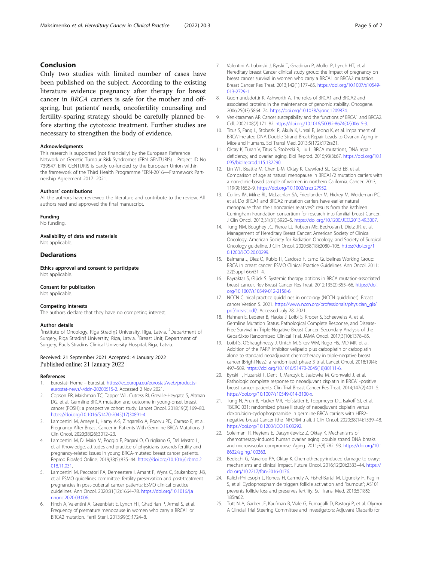# <span id="page-4-0"></span>Conclusion

Only two studies with limited number of cases have been published on the subject. According to the existing literature evidence pregnancy after therapy for breast cancer in BRCA carriers is safe for the mother and offspring, but patients' needs, oncofertility counseling and fertility-sparing strategy should be carefully planned before starting the cytotoxic treatment. Further studies are necessary to strengthen the body of evidence.

#### Acknowledgments

This research is supported (not financially) by the European Reference Network on Genetic Tumour Risk Syndromes (ERN GENTURIS)—Project ID No 739547. ERN GENTURIS is partly co-funded by the European Union within the framework of the Third Health Programme "ERN-2016—Framework Partnership Agreement 2017–2021.

#### Authors' contributions

All the authors have reviewed the literature and contribute to the review. All authors read and approved the final manuscript.

#### Funding

No funding.

Availability of data and materials Not applicable

# Declarations

Ethics approval and consent to participate Not applicable.

#### Consent for publication

Not applicable.

#### Competing interests

The authors declare that they have no competing interest.

#### Author details

<sup>1</sup>Institute of Oncology, Riga Stradiņš University, Riga, Latvia. <sup>2</sup>Department of Surgery, Riga Stradiņš University, Riga, Latvia. <sup>3</sup>Breast Unit, Department of Surgery, Pauls Stradins Clinical University Hospital, Riga, Latvia.

## Received: 21 September 2021 Accepted: 4 January 2022 Published online: 21 January 2022

### References

- 1. Eurostat- Home Eurostat. [https://ec.europa.eu/eurostat/web/products](https://ec.europa.eu/eurostat/web/products-eurostat-news/-/ddn-20200515-2)[eurostat-news/-/ddn-20200515-2](https://ec.europa.eu/eurostat/web/products-eurostat-news/-/ddn-20200515-2). Accessed 2 Nov 2021.
- 2. Copson ER, Maishman TC, Tapper WL, Cutress RI, Greville-Heygate S, Altman DG, et al. Germline BRCA mutation and outcome in young-onset breast cancer (POSH): a prospective cohort study. Lancet Oncol. 2018;19(2):169–80. [https://doi.org/10.1016/S1470-2045\(17\)30891-4.](https://doi.org/10.1016/S1470-2045(17)30891-4)
- 3. Lambertini M, Ameye L, Hamy A-S, Zingarello A, Poorvu PD, Carraso E, et al. Pregnancy After Breast Cancer in Patients With Germline BRCA Mutations. J Clin Oncol. 2020;38(26):3012–23.
- 4. Lambertini M, Di Maio M, Poggio F, Pagani O, Curigliano G, Del Mastro L, et al. Knowledge, attitudes and practice of physicians towards fertility and pregnancy-related issues in young BRCA-mutated breast cancer patients. Reprod BioMed Online. 2019;38(5):835–44. [https://doi.org/10.1016/j.rbmo.2](https://doi.org/10.1016/j.rbmo.2018.11.031) [018.11.031](https://doi.org/10.1016/j.rbmo.2018.11.031).
- 5. Lambertini M, Peccatori FA, Demeestere I, Amant F, Wyns C, Stukenborg J-B, et al. ESMO guidelines committee: fertility preservation and post-treatment pregnancies in post-pubertal cancer patients: ESMO clinical practice guidelines. Ann Oncol. 2020;31(12):1664–78. [https://doi.org/10.1016/j.a](https://doi.org/10.1016/j.annonc.2020.09.006) [nnonc.2020.09.006](https://doi.org/10.1016/j.annonc.2020.09.006).
- 6. Finch A, Valentini A, Greenblatt E, Lynch HT, Ghadirian P, Armel S, et al. Frequency of premature menopause in women who carry a BRCA1 or BRCA2 mutation. Fertil Steril. 2013;99(6):1724–8.
- 7. Valentini A, Lubinski J, Byrski T, Ghadirian P, Moller P, Lynch HT, et al. Hereditary breast Cancer clinical study group: the impact of pregnancy on breast cancer survival in women who carry a BRCA1 or BRCA2 mutation. Breast Cancer Res Treat. 2013;142(1):177–85. [https://doi.org/10.1007/s10549-](https://doi.org/10.1007/s10549-013-2729-1) [013-2729-1](https://doi.org/10.1007/s10549-013-2729-1).
- 8. Gudmundsdottir K, Ashworth A. The roles of BRCA1 and BRCA2 and associated proteins in the maintenance of genomic stability. Oncogene. 2006;25(43):5864–74. [https://doi.org/10.1038/sj.onc.1209874.](https://doi.org/10.1038/sj.onc.1209874)
- 9. Venkitaraman AR. Cancer susceptibility and the functions of BRCA1 and BRCA2. Cell. 2002;108(2):171–82. [https://doi.org/10.1016/S0092-8674\(02\)00615-3](https://doi.org/10.1016/S0092-8674(02)00615-3).
- 10. Titus S, Fang L, Stobezki R, Akula K, Unsal E, Jeong K, et al. Impairment of BRCA1-related DNA Double Strand Break Repair Leads to Ovarian Aging in Mice and Humans. Sci Transl Med. 2013;5(172):172ra21.
- 11. Oktay K, Turan V, Titus S, Stobezki R, Liu L. BRCA mutations, DNA repair deficiency, and ovarian aging. Biol Reprod. 2015;93(3):67. [https://doi.org/10.1](https://doi.org/10.1095/biolreprod.115.132290) [095/biolreprod.115.132290](https://doi.org/10.1095/biolreprod.115.132290).
- 12. Lin WT, Beattie M, Chen L-M, Oktay K, Crawford SL, Gold EB, et al. Comparison of age at natural menopause in BRCA1/2 mutation carriers with a non-clinic-based sample of women in northern California. Cancer. 2013; 119(9):1652–9. [https://doi.org/10.1002/cncr.27952.](https://doi.org/10.1002/cncr.27952)
- 13. Collins IM, Milne RL, McLachlan SA, Friedlander M, Hickey M, Weideman PC, et al. Do BRCA1 and BRCA2 mutation carriers have earlier natural menopause than their noncarrier relatives?: results from the Kathleen Cuningham Foundation consortium for research into familial breast Cancer. J Clin Oncol. 2013;31(31):3920–5. [https://doi.org/10.1200/JCO.2013.49.3007.](https://doi.org/10.1200/JCO.2013.49.3007)
- 14. Tung NM, Boughey JC, Pierce LJ, Robson ME, Bedrosian I, Dietz JR, et al. Management of Hereditary Breast Cancer: American Society of Clinical Oncology, American Society for Radiation Oncology, and Society of Surgical Oncology guideline. J Clin Oncol. 2020;38(18):2080–106. [https://doi.org/1](https://doi.org/10.1200/JCO.20.00299) [0.1200/JCO.20.00299.](https://doi.org/10.1200/JCO.20.00299)
- 15. Balmana J, Diez O, Rubio IT, Cardoso F. Esmo Guidelines Working Group: BRCA in breast cancer: ESMO Clinical Practice Guidelines. Ann Oncol. 2011; 22(Suppl 6):vi31–4.
- 16. Bayraktar S, Glück S. Systemic therapy options in BRCA mutation-associated breast cancer. Rev Breast Cancer Res Treat. 2012;135(2):355–66. [https://doi.](https://doi.org/10.1007/s10549-012-2158-6) [org/10.1007/s10549-012-2158-6](https://doi.org/10.1007/s10549-012-2158-6).
- 17. NCCN Clinical practice guidelines in oncology (NCCN guidelines). Breast cancer Version 5. 2021. [https://www.nccn.org/professionals/physician\\_gls/](https://www.nccn.org/professionals/physician_gls/pdf/breast.pdf/) [pdf/breast.pdf/](https://www.nccn.org/professionals/physician_gls/pdf/breast.pdf/). Accessed July 28, 2021.
- 18. Hahnen E, Lederer B, Hauke J, Loibl S, Krober S, Scheeweiss A, et al. Germline Mutation Status, Pathological Complete Response, and Disease-Free Survival in Triple-Negative Breast Cancer: Secondary Analysis of the GeparSixto Randomized Clinical Trial. JAMA Oncol. 2017;3(10):1378–85.
- 19. Loibl S, O'Shaughnessy J, Untch M, Sikov WM, Rugo HS, MD MK, et al. Addition of the PARP inhibitor veliparib plus carboplatin or carboplatin alone to standard neoadjuvant chemotherapy in triple-negative breast cancer (BrighTNess): a randomised, phase 3 trial. Lancet Oncol. 2018;19(4): 497–509. [https://doi.org/10.1016/S1470-2045\(18\)30111-6](https://doi.org/10.1016/S1470-2045(18)30111-6).
- 20. Byrski T, Huzarski T, Dent R, Marczyk E, Jasiowka M, Gronwald J, et al. Pathologic complete response to neoadjuvant cisplatin in BRCA1-positive breast cancer patients. Clin Trial Breast Cancer Res Treat. 2014;147(2):401–5. [https://doi.org/10.1007/s10549-014-3100-x.](https://doi.org/10.1007/s10549-014-3100-x)
- 21. Tung N, Arun B, Hacker MR, Hofstatter E, Toppmeyer DL, Isakoff SJ, et al. TBCRC 031: randomized phase II study of neoadjuvant cisplatin versus doxorubicin-cyclophosphamide in germline BRCA carriers with HER2 negative breast Cancer (the INFORM trial). J Clin Oncol. 2020;38(14):1539–48. <https://doi.org/10.1200/JCO.19.03292>.
- 22. Soleimani R, Heytens E, Darzynkiewicz Z, Oktay K. Mechanisms of chemotherapy-induced human ovarian aging: double strand DNA breaks and microvascular compromise. Aging. 2011;3(8):782–93. [https://doi.org/10.1](https://doi.org/10.18632/aging.100363) [8632/aging.100363.](https://doi.org/10.18632/aging.100363)
- 23. Bedischi G, Navaroo PA, Oktay K. Chemotherapy-induced damage to ovary: mechanisms and clinical impact. Future Oncol. 2016;12(20):2333–44. [https://](https://doi.org/10.2217/fon-2016-0176) [doi.org/10.2217/fon-2016-0176](https://doi.org/10.2217/fon-2016-0176).
- 24. Kalich-Philosoph L, Roness H, Carmely A, Fishel-Bartal M, Ligunsky H, Paglin S, et al. Cyclophosphamide triggers follicle activation and "burnout"; AS101 prevents follicle loss and preserves fertility. Sci Transl Med. 2013;5(185): 185ra62.
- 25. Tutt NJA, Garber JE, Kaufman B, Viale G, Fumagalli D, Rastogi P, et al. Olymoi A Clincial Trial Steering Committee and Investigators: Adjuvant Olaparib for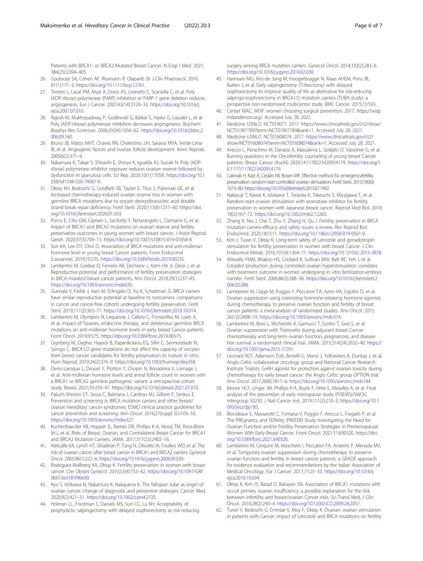<span id="page-5-0"></span>Patients with BRCA1- or BRCA2-Mutated Breast Cancer. N Engl J Med. 2021; 384(25):2394–405.

- 26. Goulooze SA, Cohen AF, Rissmann R. Olaparib. Br J Clin Pharmacol. 2016; 81(1):171–3. [https://doi.org/10.1111/bcp.12761.](https://doi.org/10.1111/bcp.12761)
- 27. Tentori L, Lacal PM, Muzi A, Dorio AS, Leonetti C, Scarsella C, et al. Poly (ADP-ribose) polymerase (PARP) inhibition or PARP-1 gene deletion reduces angiogenesis. Eur J Cancer. 2007;43(14):2124–33. [https://doi.org/10.1016/j.](https://doi.org/10.1016/j.ejca.2007.07.010) [ejca.2007.07.010](https://doi.org/10.1016/j.ejca.2007.07.010).
- 28. Rajesh M, Mukhopadway P, Godlewski G, Batkai S, Hasko G, Liaudet L, et al. Poly (ADP-ribose) polymerase inhibition decreases angiogenesis. Biochem Biophys Res Commun. 2006;350(4):1056–62. [https://doi.org/10.1016/j.bbrc.2](https://doi.org/10.1016/j.bbrc.2006.09.160) [006.09.160](https://doi.org/10.1016/j.bbrc.2006.09.160).
- 29. Bruno JB, Matos MHT, Chaves RN, Chelestino JJH, Saraiva MVA, Verde-Lima IB, et al. Angiogenic factors and ovarian follicle development. Anim Reprod. 2009;6(2):371–9.
- 30. Nakamura K, Takae S, Shiraishi E, Shinya K, Igualda AJ, Suzuki N. Poly (ADPribose) polymerase inhibitor exposure reduces ovarian reserve followed by dysfunction in granulosa cells. Sci Rep. 2020;10(1):17058. [https://doi.org/10.1](https://doi.org/10.1038/s41598-020-74087-9) [038/s41598-020-74087-9.](https://doi.org/10.1038/s41598-020-74087-9)
- 31. Oktay KH, Bedoschi G, Goldfarb SB, Taylan E, Titus S, Palomaki GE, et al. Increased chemotherapy-induced ovarian reserve loss in women with germline BRCA mutations due to oocyte deoxyribonucleic acid double strand break repair deficiency. Fertil Steril. 2020;113(6):1251–60. [https://doi.](https://doi.org/10.1016/j.fertnstert.2020.01.033) [org/10.1016/j.fertnstert.2020.01.033.](https://doi.org/10.1016/j.fertnstert.2020.01.033)
- 32. Porcu E, Cillo GM, Cipriani L, Sacilotto F, Notarangelo L, Damiano G, et al. Impact of BRCA1 and BRCA2 mutations on ovarian reserve and fertility preservation outcomes in young women with breast cancer. J Assist Reprod Genet. 2020;37(3):709–15. [https://doi.org/10.1007/s10815-019-01658-9.](https://doi.org/10.1007/s10815-019-01658-9)
- 33. Son KA, Lee DY, Choi D. Association of BRCA mutations and anti-müllerian hormone level in young breast Cancer patients. Front Endocrinol (Lausanne). 2019;10:235. [https://doi.org/10.3389/fendo.2019.00235.](https://doi.org/10.3389/fendo.2019.00235)
- 34. Lambertini M, Goldrat O, Ferreira AR, Dechene J, Azim HA Jr, Desir J, et al. Reproductive potential and performance of fertility preservation strategies in BRCA-mutated breast cancer patients. Ann Oncol. 2018;29(1):237–43. [https://doi.org/10.1093/annonc/mdx639.](https://doi.org/10.1093/annonc/mdx639)
- 35. Gunnala V, Fields J, Irani M, D'Angelo D, Xu K, Schattman G. BRCA carriers have similar reproductive potential at baseline to noncarriers: comparisons in cancer and cancer-free cohorts undergoing fertility preservation. Fertil Steril. 2019;111(2):363–71. <https://doi.org/10.1016/j.fertnstert.2018.10.014>.
- 36. Lambertini M, Olympios N, Lequesne J, Calbrix C, Fontanilles M, Loeb A, et al. Impact of Taxanes, endocrine therapy, and deleterious germline BRCA mutations on anti-müllerian hormone levels in early breast Cancer patients. Front Oncol. 2019;9:575. [https://doi.org/10.3389/fonc.2019.00575.](https://doi.org/10.3389/fonc.2019.00575)
- 37. Grynberg M, Dagher Hayeck B, Papanikolaou EG, Sifer C, Sermondade N, Sonigo C. BRCA1/2 gene mutations do not affect the capacity of oocytes from breast cancer candidates for fertility preservation to mature in vitro. Hum Reprod. 2019;34(2):374–9. <https://doi.org/10.1093/humrep/dey358>.
- 38. Denis-Laroque L, Drouet Y, Plotton Y, Chopin N, Bonadona V, Lornage J, et al. Anti-müllerian hormone levels and antral follicle count in women with a BRCA1 or BRCA2 germline pathogenic variant: a retrospective cohort study. Breast. 2021;59:239–47. [https://doi.org/10.1016/j.breast.2021.07.010.](https://doi.org/10.1016/j.breast.2021.07.010)
- 39. Paluch-Shimon CF, Sessa C, Balmana J, Cardoso MJ, Gilbert F, Senkus E. Prevention and screening in BRCA mutation carriers and other breast/ ovarian hereditary cancer syndromes: ESMO clinical practice guidelines for cancer prevention and screening. Ann Oncol. 2016;27(suppl 5):v103–10. [https://doi.org/10.1093/annonc/mdw327.](https://doi.org/10.1093/annonc/mdw327)
- 40. Kuchenbaecker KB, Hopper JL, Barnes DR, Phillips K-A, Mooij TM, Roos-Blom M-J, et al. Risks of Breast, Ovarian, and Contralateral Breast Cancer for BRCA1 and BRCA2 Mutation Carriers. JAMA. 2017;317(23):2402–16.
- 41. Metcalfe KA, Lynch HT, Ghadirian P, Tung N, Olivotto IA, Foulkes WD, et al. The risk of ovarian cancer after breast cancer in BRCA1 and BRCA2 carriers. Gynecol Oncol. 2005;96(1):222–6. [https://doi.org/10.1016/j.ygyno.2004.09.039.](https://doi.org/10.1016/j.ygyno.2004.09.039)
- 42. Rodriguez-Wallberg KA, Oktay K. Fertility preservation in women with breast cancer. Clin Obstet Gynecol. 2010;53(4):753–62. [https://doi.org/10.1097/GRF.](https://doi.org/10.1097/GRF.0b013e3181f96e00) [0b013e3181f96e00](https://doi.org/10.1097/GRF.0b013e3181f96e00).
- 43. Kyo S, Ishikawa N, Nakamura K, Nakayama K. The fallopian tube as origin of ovarian cancer: change of diagnostic and preventive strategies. Cancer Med. 2020;9(2):421–31. [https://doi.org/10.1002/cam4.2725.](https://doi.org/10.1002/cam4.2725)
- 44. Holman LL, Friedman S, Daniels MS, Sun CC, Lu KH. Acceptability of prophylactic salpingectomy with delayed oophorectomy as risk-reducing

surgery among BRCA mutation carriers. Gynecol Oncol. 2014;133(2):283–6. [https://doi.org/10.1016/j.ygyno.2014.02.030.](https://doi.org/10.1016/j.ygyno.2014.02.030)

- 45. Harmsen MG, Arts-de Jong M, Hoogerbrugge N, Maas AHEM, Prins JB, Bulten J, et al. Early salpingectomy (TUbectomy) with delayed oophorectomy to improve quality of life as alternative for risk-reducing salpingo-oophorectomy in BRCA1/2 mutation carriers (TUBA study): a prospective non-randomised multicentre study. BMC Cancer. 2015;15:593.
- 46. Center MAC. WISP: women choosing surgical prevention. 2017. [https://wisp.](https://wisp.mdanderson.org/) [mdanderson.org/](https://wisp.mdanderson.org/). Accessed July 28, 2021.
- 47. Medicine USNLO. NCT019077. 2017. https://www.clinicaltrials.gov/ct2/show/ NCT01907789?term=NCT01907789&rank=1. Accessed July 28, 2021.
- 48. Medicine USNLO. NCT01608074. 2017. [https://www.clinicaltrials.gov/ct2/](https://www.clinicaltrials.gov/ct2/show/NCT01608074?term=NCT01608074&rank=1) [show/NCT01608074?term=NCT01608074&rank=1.](https://www.clinicaltrials.gov/ct2/show/NCT01608074?term=NCT01608074&rank=1) Accessed July 28, 2021.
- 49. Arecco L, Perachino M, Danassi A, Massalena L, Soldato D, Vaoolme G, et al. Burning questions in the Oncofertility counseling of young breast Cancer patients. Breast Cancer (Auckl). 2020;14:1178223420954179. [https://doi.org/1](https://doi.org/10.1177/1178223420954179) [0.1177/1178223420954179](https://doi.org/10.1177/1178223420954179).
- 50. Cakmak H, Katz A, Cedars MI, Rosen MP. Effective method for emergencyfertility preservation: random-start controlled ovarian stimulation. Fertil Steril. 2013;100(6): 1673–80. <https://doi.org/10.1016/j.fertnstert.2013.07.1992>.
- 51. Nakasuji T, Kawai K, Ishikawa T, Teraoka K, Takeuchi S, Miyagawa T, et al. Random-start ovarian stimulation with aromatase inhibitor for fertility preservation in women with Japanese breast cancer. Reprod Med Biol. 2019; 18(2):167–72. <https://doi.org/10.1002/rmb2.12263>.
- 52. Zhang X, Niu J, Che T, Zhu Y, Zhang H, Qu J. Fertility preservation in BRCA mutation carriers-efficacy and safety issues: a review. Rev Reprod Biol Endocrinol. 2020;18(1):11. [https://doi.org/10.1186/s12958-019-0561-0.](https://doi.org/10.1186/s12958-019-0561-0)
- 53. Kim J, Turan V, Oktay K. Long-term safety of Letrozole and gonadotropin stimulation for fertility preservation in women with breast Cancer. J Clin Endocrinol Metab. 2016;101(4):1364–71. [https://doi.org/10.1210/jc.2015-3878.](https://doi.org/10.1210/jc.2015-3878)
- 54. Mitwally FMM, Bhakoo HS, Crickard K, Sullivan MW, Batt RE, Yeh J, et al. Estradiol production during controlled ovarian hyperstimulation correlates with treatment outcome in women undergoing in vitro fertilization-embryo transfer. Fertil Steril. 2006;86(3):588–96. [https://doi.org/10.1016/j.fertnstert.2](https://doi.org/10.1016/j.fertnstert.2006.02.086) [006.02.086](https://doi.org/10.1016/j.fertnstert.2006.02.086).
- 55. Lambertini M, Ceppi M, Poggio F, Peccatori FA, Azim HA, Ugolini D, et al. Ovarian suppression using luteinizing hormone-releasing hormone agonists during chemotherapy to preserve ovarian function and fertility of breast cancer patients: a meta-analysis of randomized studies. Ann Oncol. 2015; 26(12):2408–19. [https://doi.org/10.1093/annonc/mdv374.](https://doi.org/10.1093/annonc/mdv374)
- 56. Lambertini M, Boni L, Michelotti A, Gamucci T, Scotto T, Gori S, et al. Ovarian suppression with Triptorelin during adjuvant breast Cancer chemotherapy and long-term ovarian function, pregnancies, and diseasefree survival: a randomized clinical trial. JAMA. 2015;314(24):2632–40. [https://](https://doi.org/10.1001/jama.2015.17291) [doi.org/10.1001/jama.2015.17291](https://doi.org/10.1001/jama.2015.17291).
- 57. Leonard RCF, Adamson DJA, Bertelli G, Mansi J, Yellowlees A, Dunlop J, et al. Anglo Celtic collaborative oncology group and National Cancer Research Institute Trialists: GnRH agonist for protection against ovarian toxicity during chemotherapy for early breast cancer: the Anglo Celtic group OPTION trial. Ann Oncol. 2017;28(8):1811–6. [https://doi.org/10.1093/annonc/mdx184.](https://doi.org/10.1093/annonc/mdx184)
- 58. Moore HCF, Unger JM, Phillips K-A, Boyle F, Hitre E, Moseley A, et al. Final analysis of the prevention of early menopause study (POEMS)/SWOG intergroup S0230. J Natl Cancer Inst. 2019;111(2):210–3. [https://doi.org/10.1](https://doi.org/10.1093/jnci/djy185) [093/jnci/djy185](https://doi.org/10.1093/jnci/djy185).
- 59. Blondeaux E, Massarotti C, Fontana V, Poggio F, Arecco L, Fregatti P, et al. The PREgnancy and FERtility (PREFER) Study Investigating the Need for Ovarian Function and/or Fertility Preservation Strategies in Premenopausal Women With Early Breast Cancer. Front Oncol. 2021;11:690320. [https://doi.](https://doi.org/10.3389/fonc.2021.690320) [org/10.3389/fonc.2021.690320](https://doi.org/10.3389/fonc.2021.690320).
- 60. Lambertini M, Cinquini M, Moschetti I, Peccatori FA, Anserini P, Menada MV, et al. Temporary ovarian suppression during chemotherapy to preserve ovarian function and fertility in breast cancer patients: a GRADE approach for evidence evaluation and recommendations by the Italian Association of Medical Oncology. Eur J Cancer. 2017;71:25–33. [https://doi.org/10.1016/j.](https://doi.org/10.1016/j.ejca.2016.10.034) [ejca.2016.10.034](https://doi.org/10.1016/j.ejca.2016.10.034).
- 61. Oktay K, Kim JY, Barad D, Babayev SN. Association of BRCA1 mutations with occult primary ovarian insufficiency: a possible explanation for the link between infertility and breast/ovarian Cancer risks. Sci Transl Med, J Clin Oncol. 2010;28(2):240–4. [https://doi.org/10.1200/JCO.2009.24.2057.](https://doi.org/10.1200/JCO.2009.24.2057)
- 62. Turan V, Bedoschi G, Emirdar V, Moy F, Oktay K. Ovarian: ovarian stimulation in patients with Cancer: impact of Letrozole and BRCA mutations on fertility